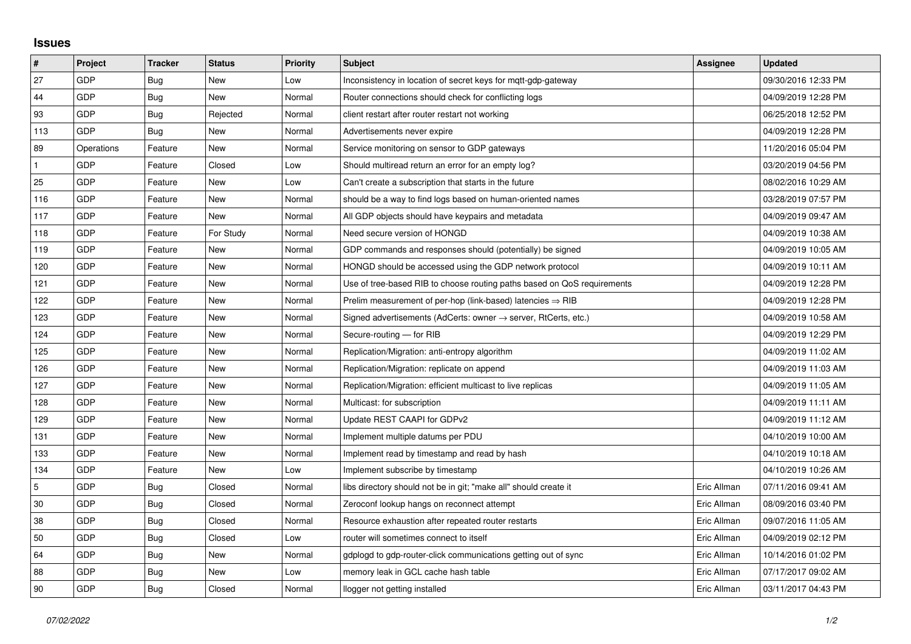## **Issues**

| #   | Project    | <b>Tracker</b> | <b>Status</b> | <b>Priority</b> | <b>Subject</b>                                                             | Assignee    | <b>Updated</b>      |
|-----|------------|----------------|---------------|-----------------|----------------------------------------------------------------------------|-------------|---------------------|
| 27  | GDP        | Bug            | <b>New</b>    | Low             | Inconsistency in location of secret keys for mqtt-gdp-gateway              |             | 09/30/2016 12:33 PM |
| 44  | GDP        | <b>Bug</b>     | New           | Normal          | Router connections should check for conflicting logs                       |             | 04/09/2019 12:28 PM |
| 93  | GDP        | <b>Bug</b>     | Rejected      | Normal          | client restart after router restart not working                            |             | 06/25/2018 12:52 PM |
| 113 | GDP        | <b>Bug</b>     | <b>New</b>    | Normal          | Advertisements never expire                                                |             | 04/09/2019 12:28 PM |
| 89  | Operations | Feature        | New           | Normal          | Service monitoring on sensor to GDP gateways                               |             | 11/20/2016 05:04 PM |
|     | GDP        | Feature        | Closed        | Low             | Should multiread return an error for an empty log?                         |             | 03/20/2019 04:56 PM |
| 25  | GDP        | Feature        | <b>New</b>    | Low             | Can't create a subscription that starts in the future                      |             | 08/02/2016 10:29 AM |
| 116 | GDP        | Feature        | New           | Normal          | should be a way to find logs based on human-oriented names                 |             | 03/28/2019 07:57 PM |
| 117 | GDP        | Feature        | <b>New</b>    | Normal          | All GDP objects should have keypairs and metadata                          |             | 04/09/2019 09:47 AM |
| 118 | GDP        | Feature        | For Study     | Normal          | Need secure version of HONGD                                               |             | 04/09/2019 10:38 AM |
| 119 | GDP        | Feature        | New           | Normal          | GDP commands and responses should (potentially) be signed                  |             | 04/09/2019 10:05 AM |
| 120 | GDP        | Feature        | New           | Normal          | HONGD should be accessed using the GDP network protocol                    |             | 04/09/2019 10:11 AM |
| 121 | GDP        | Feature        | New           | Normal          | Use of tree-based RIB to choose routing paths based on QoS requirements    |             | 04/09/2019 12:28 PM |
| 122 | GDP        | Feature        | New           | Normal          | Prelim measurement of per-hop (link-based) latencies $\Rightarrow$ RIB     |             | 04/09/2019 12:28 PM |
| 123 | GDP        | Feature        | <b>New</b>    | Normal          | Signed advertisements (AdCerts: owner $\rightarrow$ server, RtCerts, etc.) |             | 04/09/2019 10:58 AM |
| 124 | GDP        | Feature        | New           | Normal          | Secure-routing - for RIB                                                   |             | 04/09/2019 12:29 PM |
| 125 | GDP        | Feature        | New           | Normal          | Replication/Migration: anti-entropy algorithm                              |             | 04/09/2019 11:02 AM |
| 126 | GDP        | Feature        | New           | Normal          | Replication/Migration: replicate on append                                 |             | 04/09/2019 11:03 AM |
| 127 | GDP        | Feature        | New           | Normal          | Replication/Migration: efficient multicast to live replicas                |             | 04/09/2019 11:05 AM |
| 128 | GDP        | Feature        | New           | Normal          | Multicast: for subscription                                                |             | 04/09/2019 11:11 AM |
| 129 | GDP        | Feature        | New           | Normal          | Update REST CAAPI for GDPv2                                                |             | 04/09/2019 11:12 AM |
| 131 | GDP        | Feature        | New           | Normal          | Implement multiple datums per PDU                                          |             | 04/10/2019 10:00 AM |
| 133 | GDP        | Feature        | <b>New</b>    | Normal          | Implement read by timestamp and read by hash                               |             | 04/10/2019 10:18 AM |
| 134 | GDP        | Feature        | New           | Low             | Implement subscribe by timestamp                                           |             | 04/10/2019 10:26 AM |
| 5   | GDP        | <b>Bug</b>     | Closed        | Normal          | libs directory should not be in git; "make all" should create it           | Eric Allman | 07/11/2016 09:41 AM |
| 30  | GDP        | Bug            | Closed        | Normal          | Zeroconf lookup hangs on reconnect attempt                                 | Eric Allman | 08/09/2016 03:40 PM |
| 38  | GDP        | Bug            | Closed        | Normal          | Resource exhaustion after repeated router restarts                         | Eric Allman | 09/07/2016 11:05 AM |
| 50  | GDP        | <b>Bug</b>     | Closed        | Low             | router will sometimes connect to itself                                    | Eric Allman | 04/09/2019 02:12 PM |
| 64  | GDP        | Bug            | New           | Normal          | gdplogd to gdp-router-click communications getting out of sync             | Eric Allman | 10/14/2016 01:02 PM |
| 88  | GDP        | Bug            | New           | Low             | memory leak in GCL cache hash table                                        | Eric Allman | 07/17/2017 09:02 AM |
| 90  | GDP        | <b>Bug</b>     | Closed        | Normal          | llogger not getting installed                                              | Eric Allman | 03/11/2017 04:43 PM |